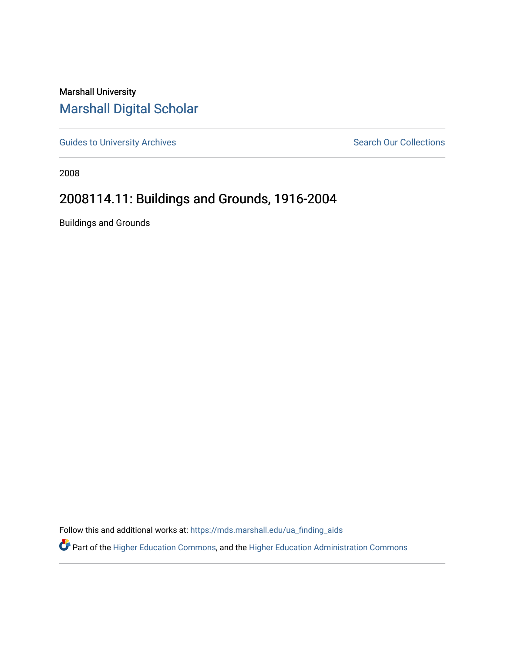## Marshall University [Marshall Digital Scholar](https://mds.marshall.edu/)

[Guides to University Archives](https://mds.marshall.edu/ua_finding_aids) **Search Our Collections** Search Our Collections

2008

## 2008114.11: Buildings and Grounds, 1916-2004

Buildings and Grounds

Follow this and additional works at: [https://mds.marshall.edu/ua\\_finding\\_aids](https://mds.marshall.edu/ua_finding_aids?utm_source=mds.marshall.edu%2Fua_finding_aids%2F96&utm_medium=PDF&utm_campaign=PDFCoverPages) 

Part of the [Higher Education Commons,](http://network.bepress.com/hgg/discipline/1245?utm_source=mds.marshall.edu%2Fua_finding_aids%2F96&utm_medium=PDF&utm_campaign=PDFCoverPages) and the [Higher Education Administration Commons](http://network.bepress.com/hgg/discipline/791?utm_source=mds.marshall.edu%2Fua_finding_aids%2F96&utm_medium=PDF&utm_campaign=PDFCoverPages)